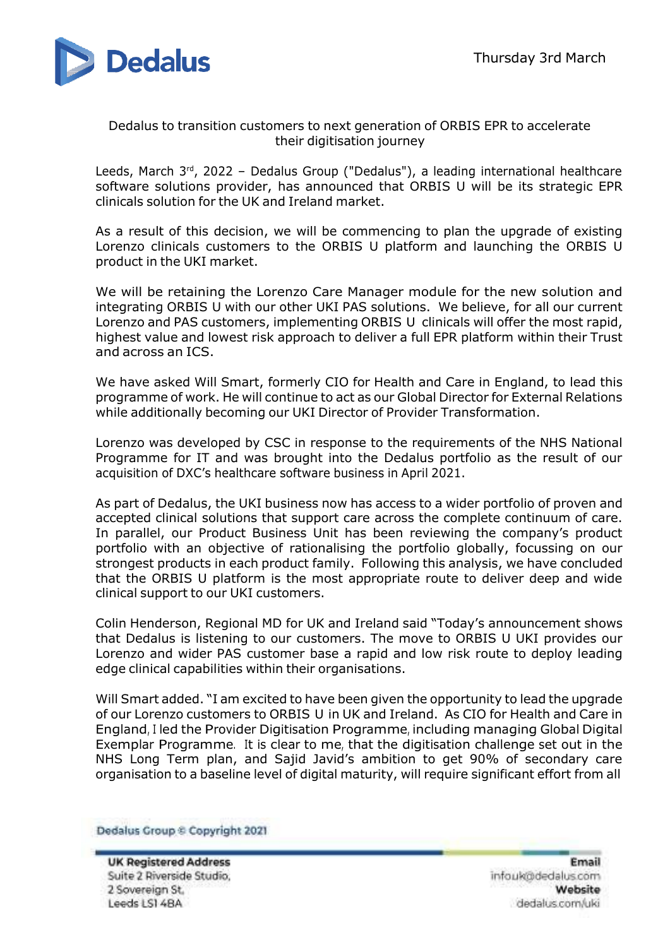

## Dedalus to transition customers to next generation of ORBIS EPR to accelerate their digitisation journey

Leeds, March 3<sup>rd</sup>, 2022 - Dedalus Group ("Dedalus"), a leading international healthcare software solutions provider, has announced that ORBIS U will be its strategic EPR clinicals solution for the UK and Ireland market.

As a result of this decision, we will be commencing to plan the upgrade of existing Lorenzo clinicals customers to the ORBIS U platform and launching the ORBIS U product in the UKI market.

We will be retaining the Lorenzo Care Manager module for the new solution and integrating ORBIS U with our other UKI PAS solutions. We believe, for all our current Lorenzo and PAS customers, implementing ORBIS U clinicals will offer the most rapid, highest value and lowest risk approach to deliver a full EPR platform within their Trust and across an ICS.

We have asked Will Smart, formerly CIO for Health and Care in England, to lead this programme of work. He will continue to act as our Global Director for External Relations while additionally becoming our UKI Director of Provider Transformation.

Lorenzo was developed by CSC in response to the requirements of the NHS National Programme for IT and was brought into the Dedalus portfolio as the result of our acquisition of DXC's healthcare software business in April 2021.

As part of Dedalus, the UKI business now has access to a wider portfolio of proven and accepted clinical solutions that support care across the complete continuum of care. In parallel, our Product Business Unit has been reviewing the company's product portfolio with an objective of rationalising the portfolio globally, focussing on our strongest products in each product family. Following this analysis, we have concluded that the ORBIS U platform is the most appropriate route to deliver deep and wide clinical support to our UKI customers.

Colin Henderson, Regional MD for UK and Ireland said "Today's announcement shows that Dedalus is listening to our customers. The move to ORBIS U UKI provides our Lorenzo and wider PAS customer base a rapid and low risk route to deploy leading edge clinical capabilities within their organisations.

Will Smart added. "I am excited to have been given the opportunity to lead the upgrade of our Lorenzo customers to ORBIS U in UK and Ireland. As CIO for Health and Care in England, <sup>I</sup> led the Provider Digitisation Programme, including managing Global Digital Exemplar Programme. It is clear to me, that the digitisation challenge set out in the NHS Long Term plan, and Sajid Javid's ambition to get 90% of secondary care organisation to a baseline level of digital maturity, will require significant effort from all

Dedalus Group © Copyright 2021

**UK Registered Address** Suite 2 Riverside Studio, 2 Sovereign St. Leeds LSI 4BA

Email infouk@dedalus.com Website dedalus.com/uki